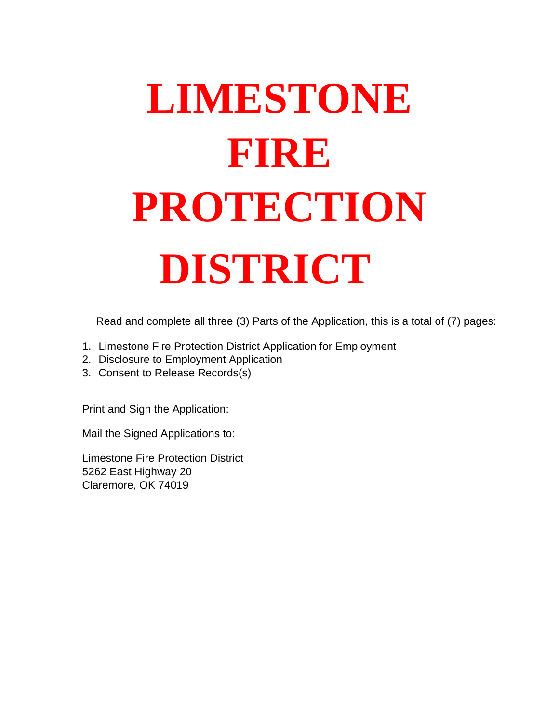# **LIMESTONE FIRE PROTECTION DISTRICT**

Read and complete all three (3) Parts of the Application, this is a total of (7) pages:

- 1. Limestone Fire Protection District Application for Employment
- 2. Disclosure to Employment Application
- 3. Consent to Release Records(s)

Print and Sign the Application:

Mail the Signed Applications to:

Limestone Fire Protection District 5262 East Highway 20 Claremore, OK 74019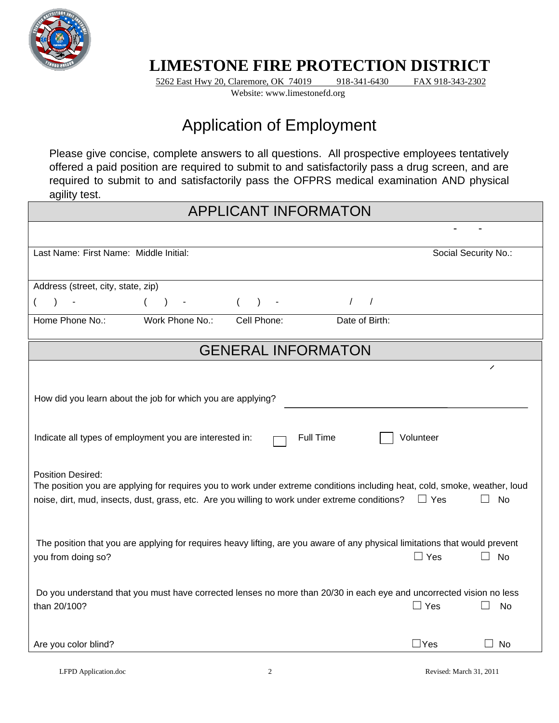

#### **LIMESTONE FIRE PROTECTION DISTRICT**

5262 East Hwy 20, Claremore, OK 74019 918-341-6430 FAX 918-343-2302 Website: www.limestonefd.org

### Application of Employment

Please give concise, complete answers to all questions. All prospective employees tentatively offered a paid position are required to submit to and satisfactorily pass a drug screen, and are required to submit to and satisfactorily pass the OFPRS medical examination AND physical agility test.

#### APPLICANT INFORMATON

| Last Name: First Name: Middle Initial:                                                                                                                                                                                                                   |                                                                                                                             |                           |                  |            | Social Security No.: |
|----------------------------------------------------------------------------------------------------------------------------------------------------------------------------------------------------------------------------------------------------------|-----------------------------------------------------------------------------------------------------------------------------|---------------------------|------------------|------------|----------------------|
| Address (street, city, state, zip)                                                                                                                                                                                                                       |                                                                                                                             |                           |                  |            |                      |
| $\sim$                                                                                                                                                                                                                                                   | $($ ) -                                                                                                                     | $($ ) -                   | $\left  \right $ |            |                      |
| Home Phone No.:                                                                                                                                                                                                                                          | Work Phone No.: Cell Phone:                                                                                                 |                           | Date of Birth:   |            |                      |
|                                                                                                                                                                                                                                                          |                                                                                                                             | <b>GENERAL INFORMATON</b> |                  |            |                      |
|                                                                                                                                                                                                                                                          |                                                                                                                             |                           |                  |            | ∕                    |
| How did you learn about the job for which you are applying?                                                                                                                                                                                              |                                                                                                                             |                           |                  |            |                      |
| Indicate all types of employment you are interested in:                                                                                                                                                                                                  |                                                                                                                             |                           | <b>Full Time</b> | Volunteer  |                      |
| <b>Position Desired:</b><br>The position you are applying for requires you to work under extreme conditions including heat, cold, smoke, weather, loud<br>noise, dirt, mud, insects, dust, grass, etc. Are you willing to work under extreme conditions? |                                                                                                                             |                           |                  | $\Box$ Yes | No<br>$\Box$         |
| you from doing so?                                                                                                                                                                                                                                       | The position that you are applying for requires heavy lifting, are you aware of any physical limitations that would prevent |                           |                  | $\Box$ Yes | No<br>$\Box$         |
| than 20/100?                                                                                                                                                                                                                                             | Do you understand that you must have corrected lenses no more than 20/30 in each eye and uncorrected vision no less         |                           |                  | $\Box$ Yes | No                   |
| Are you color blind?                                                                                                                                                                                                                                     |                                                                                                                             |                           |                  | $\Box$ Yes | No                   |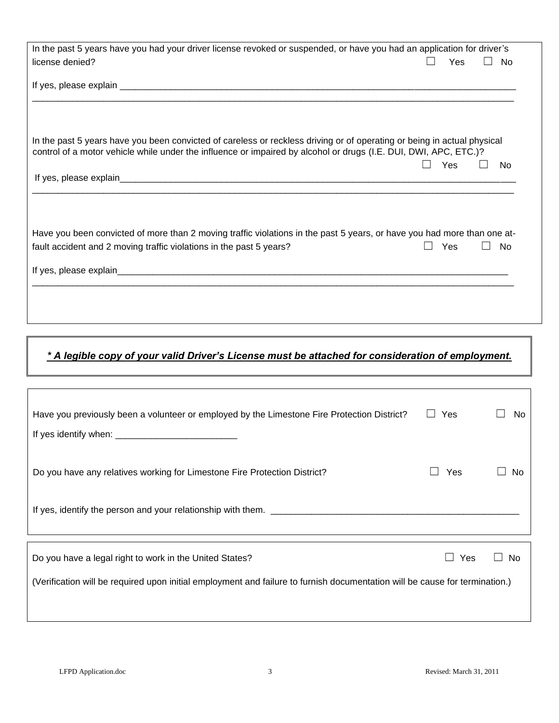| In the past 5 years have you had your driver license revoked or suspended, or have you had an application for driver's  |     |                |
|-------------------------------------------------------------------------------------------------------------------------|-----|----------------|
| license denied?                                                                                                         | Yes | No.            |
|                                                                                                                         |     |                |
|                                                                                                                         |     |                |
|                                                                                                                         |     |                |
|                                                                                                                         |     |                |
|                                                                                                                         |     |                |
| In the past 5 years have you been convicted of careless or reckless driving or of operating or being in actual physical |     |                |
| control of a motor vehicle while under the influence or impaired by alcohol or drugs (I.E. DUI, DWI, APC, ETC.)?        |     |                |
|                                                                                                                         | Yes | N <sub>0</sub> |
|                                                                                                                         |     |                |
|                                                                                                                         |     |                |
|                                                                                                                         |     |                |
|                                                                                                                         |     |                |
| Have you been convicted of more than 2 moving traffic violations in the past 5 years, or have you had more than one at- |     |                |
| fault accident and 2 moving traffic violations in the past 5 years?                                                     | Yes | <b>No</b>      |
|                                                                                                                         |     |                |
|                                                                                                                         |     |                |
|                                                                                                                         |     |                |
|                                                                                                                         |     |                |
|                                                                                                                         |     |                |
|                                                                                                                         |     |                |

#### *\* A legible copy of your valid Driver's License must be attached for consideration of employment.*

| Have you previously been a volunteer or employed by the Limestone Fire Protection District?                                 | Yes<br>$\perp$ | No. |
|-----------------------------------------------------------------------------------------------------------------------------|----------------|-----|
|                                                                                                                             |                |     |
| Do you have any relatives working for Limestone Fire Protection District?                                                   | <b>Yes</b>     | N٥  |
| If yes, identify the person and your relationship with them.                                                                |                |     |
|                                                                                                                             |                |     |
| Do you have a legal right to work in the United States?                                                                     | Yes            | No  |
| (Verification will be required upon initial employment and failure to furnish documentation will be cause for termination.) |                |     |
|                                                                                                                             |                |     |

Г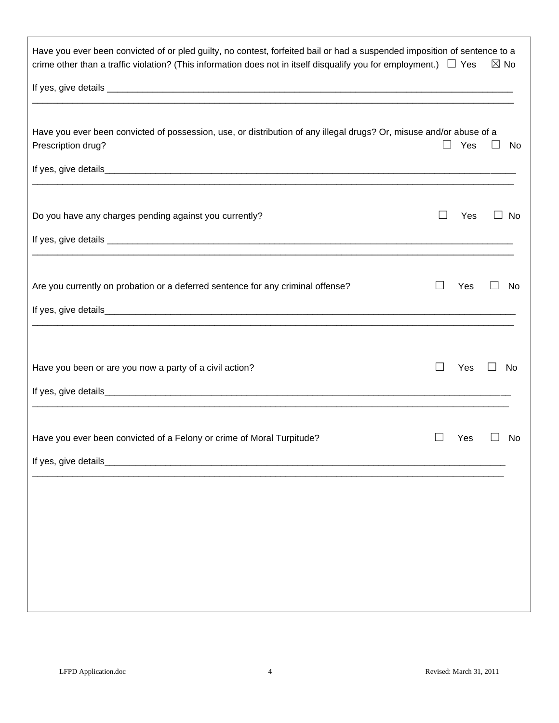| Have you ever been convicted of or pled guilty, no contest, forfeited bail or had a suspended imposition of sentence to a<br>crime other than a traffic violation? (This information does not in itself disqualify you for employment.) $\Box$ Yes |   |     | $\boxtimes$ No |    |
|----------------------------------------------------------------------------------------------------------------------------------------------------------------------------------------------------------------------------------------------------|---|-----|----------------|----|
|                                                                                                                                                                                                                                                    |   |     |                |    |
|                                                                                                                                                                                                                                                    |   |     |                |    |
| Have you ever been convicted of possession, use, or distribution of any illegal drugs? Or, misuse and/or abuse of a<br>Prescription drug?                                                                                                          | H | Yes | $\Box$         | No |
|                                                                                                                                                                                                                                                    |   |     |                |    |
| Do you have any charges pending against you currently?                                                                                                                                                                                             |   | Yes |                | No |
|                                                                                                                                                                                                                                                    |   |     |                |    |
| Are you currently on probation or a deferred sentence for any criminal offense?                                                                                                                                                                    |   | Yes |                | No |
|                                                                                                                                                                                                                                                    |   |     |                |    |
|                                                                                                                                                                                                                                                    |   |     |                |    |
| Have you been or are you now a party of a civil action?                                                                                                                                                                                            |   | Yes |                | No |
|                                                                                                                                                                                                                                                    |   |     |                |    |
|                                                                                                                                                                                                                                                    |   |     |                |    |
| Have you ever been convicted of a Felony or crime of Moral Turpitude?                                                                                                                                                                              |   | Yes |                | No |
| If yes, give details_                                                                                                                                                                                                                              |   |     |                |    |
|                                                                                                                                                                                                                                                    |   |     |                |    |
|                                                                                                                                                                                                                                                    |   |     |                |    |
|                                                                                                                                                                                                                                                    |   |     |                |    |
|                                                                                                                                                                                                                                                    |   |     |                |    |
|                                                                                                                                                                                                                                                    |   |     |                |    |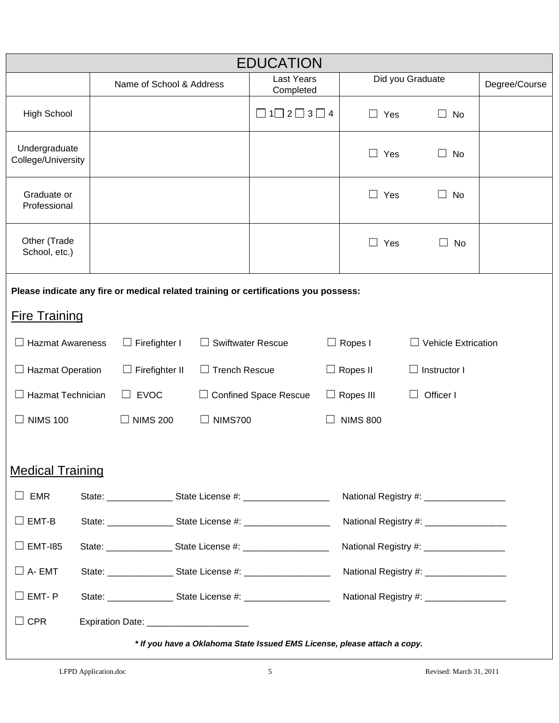| <b>EDUCATION</b>                                                                    |                                                                                                                             |                                           |                      |                                                                          |  |                  |                                         |               |
|-------------------------------------------------------------------------------------|-----------------------------------------------------------------------------------------------------------------------------|-------------------------------------------|----------------------|--------------------------------------------------------------------------|--|------------------|-----------------------------------------|---------------|
|                                                                                     |                                                                                                                             | Name of School & Address                  |                      | <b>Last Years</b><br>Completed                                           |  |                  | Did you Graduate                        | Degree/Course |
| <b>High School</b>                                                                  |                                                                                                                             |                                           |                      | $\Box$ 1 $\Box$ 2 $\Box$ 3 $\Box$ 4                                      |  | $\Box$ Yes       | No<br>$\perp$                           |               |
| Undergraduate<br>College/University                                                 |                                                                                                                             |                                           |                      |                                                                          |  | ⊔<br>Yes         | No                                      |               |
| Graduate or<br>Professional                                                         |                                                                                                                             |                                           |                      |                                                                          |  | $\Box$<br>Yes    | No<br>$\perp$                           |               |
| Other (Trade<br>School, etc.)                                                       |                                                                                                                             |                                           |                      |                                                                          |  | $\Box$ Yes       | No                                      |               |
| Please indicate any fire or medical related training or certifications you possess: |                                                                                                                             |                                           |                      |                                                                          |  |                  |                                         |               |
| <b>Fire Training</b>                                                                |                                                                                                                             |                                           |                      |                                                                          |  |                  |                                         |               |
| <b>Hazmat Awareness</b>                                                             |                                                                                                                             | $\Box$ Firefighter I                      |                      | <b>Swiftwater Rescue</b>                                                 |  | $\Box$ Ropes I   | <b>Vehicle Extrication</b>              |               |
| <b>Hazmat Operation</b>                                                             |                                                                                                                             | Firefighter II                            | $\Box$ Trench Rescue |                                                                          |  | $\Box$ Ropes II  | Instructor I                            |               |
| <b>Hazmat Technician</b>                                                            |                                                                                                                             | $\Box$ EVOC                               |                      | <b>Confined Space Rescue</b>                                             |  | $\Box$ Ropes III | Officer I                               |               |
| <b>NIMS 100</b>                                                                     |                                                                                                                             | <b>NIMS 200</b>                           | <b>NIMS700</b>       |                                                                          |  | <b>NIMS 800</b>  |                                         |               |
| <b>Medical Training</b>                                                             |                                                                                                                             |                                           |                      |                                                                          |  |                  |                                         |               |
| <b>EMR</b><br>$\vert \ \ \vert$                                                     |                                                                                                                             |                                           |                      |                                                                          |  |                  | National Registry #: __________________ |               |
| EMT-B                                                                               |                                                                                                                             |                                           |                      |                                                                          |  |                  | National Registry #: ________________   |               |
| <b>EMT-185</b>                                                                      | National Registry #: __________________                                                                                     |                                           |                      |                                                                          |  |                  |                                         |               |
| $\Box$ A- EMT                                                                       |                                                                                                                             |                                           |                      |                                                                          |  |                  | National Registry #: __________________ |               |
| $\square$ EMT- P                                                                    | State: ______________________ State License #: _________________________________<br>National Registry #: __________________ |                                           |                      |                                                                          |  |                  |                                         |               |
| $\square$ CPR                                                                       |                                                                                                                             | Expiration Date: ________________________ |                      |                                                                          |  |                  |                                         |               |
|                                                                                     |                                                                                                                             |                                           |                      | * If you have a Oklahoma State Issued EMS License, please attach a copy. |  |                  |                                         |               |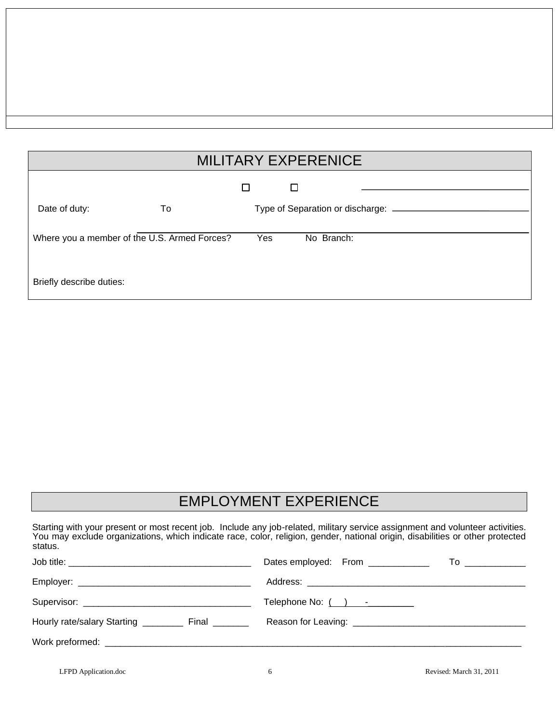## MILITARY EXPERENICE

|                                              |    | Г   | ⊔                                      |
|----------------------------------------------|----|-----|----------------------------------------|
| Date of duty:                                | To |     | Type of Separation or discharge: _____ |
| Where you a member of the U.S. Armed Forces? |    | Yes | No Branch:                             |
| Briefly describe duties:                     |    |     |                                        |

## EMPLOYMENT EXPERIENCE

| status.                                                 | Starting with your present or most recent job. Include any job-related, military service assignment and volunteer activities.<br>You may exclude organizations, which indicate race, color, religion, gender, national origin, disabilities or other protected |
|---------------------------------------------------------|----------------------------------------------------------------------------------------------------------------------------------------------------------------------------------------------------------------------------------------------------------------|
|                                                         | Dates employed: From ____________                                                                                                                                                                                                                              |
|                                                         |                                                                                                                                                                                                                                                                |
|                                                         |                                                                                                                                                                                                                                                                |
| Hourly rate/salary Starting ____________ Final ________ |                                                                                                                                                                                                                                                                |
|                                                         |                                                                                                                                                                                                                                                                |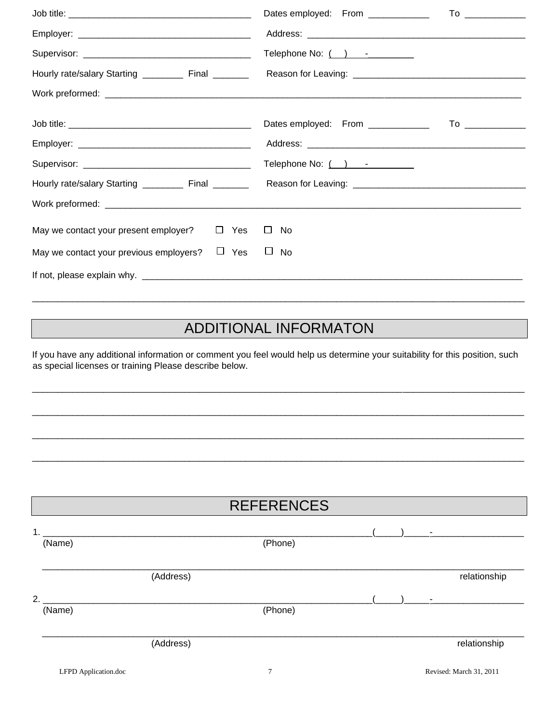|                                                       | Dates employed: From ____________<br>To ______________                                                                                                                                                                                                              |
|-------------------------------------------------------|---------------------------------------------------------------------------------------------------------------------------------------------------------------------------------------------------------------------------------------------------------------------|
|                                                       |                                                                                                                                                                                                                                                                     |
|                                                       | Telephone No: $($ $)$ $     -$                                                                                                                                                                                                                                      |
|                                                       | Hourly rate/salary Starting __________ Final _________ Reason for Leaving: ___________________________________                                                                                                                                                      |
|                                                       |                                                                                                                                                                                                                                                                     |
|                                                       | Dates employed: From ____________<br>To the contract of the contract of the contract of the contract of the contract of the contract of the contract of the contract of the contract of the contract of the contract of the contract of the contract of the contrac |
|                                                       |                                                                                                                                                                                                                                                                     |
|                                                       |                                                                                                                                                                                                                                                                     |
|                                                       | Hourly rate/salary Starting __________ Final ___________ Reason for Leaving: _________________________________                                                                                                                                                      |
|                                                       |                                                                                                                                                                                                                                                                     |
| May we contact your present employer?<br>$\Box$ Yes   | $\Box$ No                                                                                                                                                                                                                                                           |
| $\Box$ Yes<br>May we contact your previous employers? | $\Box$ No                                                                                                                                                                                                                                                           |
|                                                       |                                                                                                                                                                                                                                                                     |

#### **ADDITIONAL INFORMATON**

If you have any additional information or comment you feel would help us determine your suitability for this position, such as special licenses or training Please describe below.

## **REFERENCES**  $(Thone)$

| (Name) |           | (Phone) |              |
|--------|-----------|---------|--------------|
|        | (Address) |         | relationship |
| 2.1    |           |         | ۰            |
| (Name) |           | (Phone) |              |
|        | (Address) |         | relationship |
|        |           |         |              |

 $1.$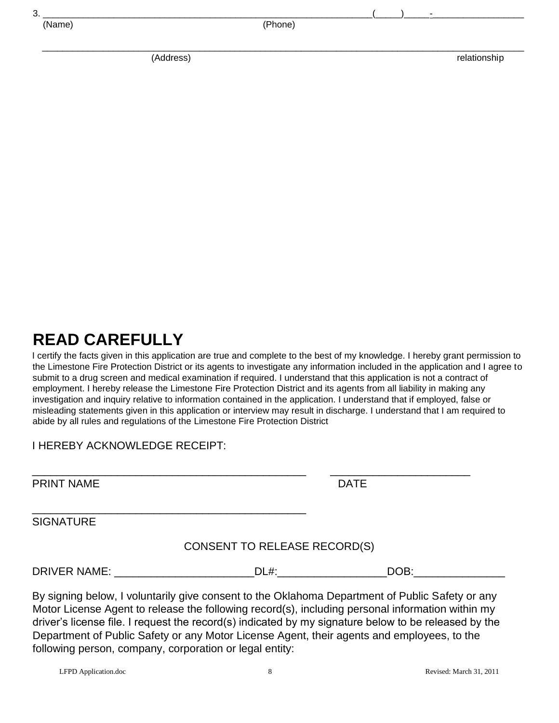| J. |             |       |          |  |
|----|-------------|-------|----------|--|
|    | ___________ | - 1 - | - / ———— |  |

| N | - 2<br>arr | c |
|---|------------|---|
|   |            |   |

(Phone)

 $\overline{\phantom{a}}$  , and the contribution of the contribution of the contribution of the contribution of the contribution of the contribution of the contribution of the contribution of the contribution of the contribution of the

(Address) relationship

#### **READ CAREFULLY**

I certify the facts given in this application are true and complete to the best of my knowledge. I hereby grant permission to the Limestone Fire Protection District or its agents to investigate any information included in the application and I agree to submit to a drug screen and medical examination if required. I understand that this application is not a contract of employment. I hereby release the Limestone Fire Protection District and its agents from all liability in making any investigation and inquiry relative to information contained in the application. I understand that if employed, false or misleading statements given in this application or interview may result in discharge. I understand that I am required to abide by all rules and regulations of the Limestone Fire Protection District

\_\_\_\_\_\_\_\_\_\_\_\_\_\_\_\_\_\_\_\_\_\_\_\_\_\_\_\_\_\_\_\_\_\_\_\_\_\_\_\_\_\_\_\_\_ \_\_\_\_\_\_\_\_\_\_\_\_\_\_\_\_\_\_\_\_\_\_\_

#### I HEREBY ACKNOWLEDGE RECEIPT:

\_\_\_\_\_\_\_\_\_\_\_\_\_\_\_\_\_\_\_\_\_\_\_\_\_\_\_\_\_\_\_\_\_\_\_\_\_\_\_\_\_\_\_\_\_

PRINT NAME DATE

**SIGNATURE** 

#### CONSENT TO RELEASE RECORD(S)

DRIVER NAME: \_\_\_\_\_\_\_\_\_\_\_\_\_\_\_\_\_\_\_\_\_\_\_DL#:\_\_\_\_\_\_\_\_\_\_\_\_\_\_\_\_\_\_DOB:\_\_\_\_\_\_\_\_\_\_\_\_\_\_\_

By signing below, I voluntarily give consent to the Oklahoma Department of Public Safety or any Motor License Agent to release the following record(s), including personal information within my driver's license file. I request the record(s) indicated by my signature below to be released by the Department of Public Safety or any Motor License Agent, their agents and employees, to the following person, company, corporation or legal entity: